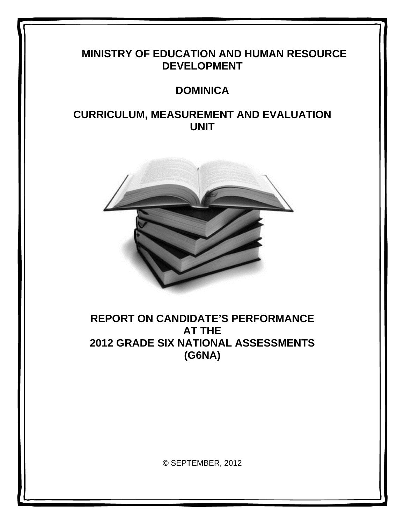# **MINISTRY OF EDUCATION AND HUMAN RESOURCE DEVELOPMENT**

# **DOMINICA**

# **CURRICULUM, MEASUREMENT AND EVALUATION UNIT**



# **REPORT ON CANDIDATE'S PERFORMANCE AT THE 2012 GRADE SIX NATIONAL ASSESSMENTS (G6NA)**

© SEPTEMBER, 2012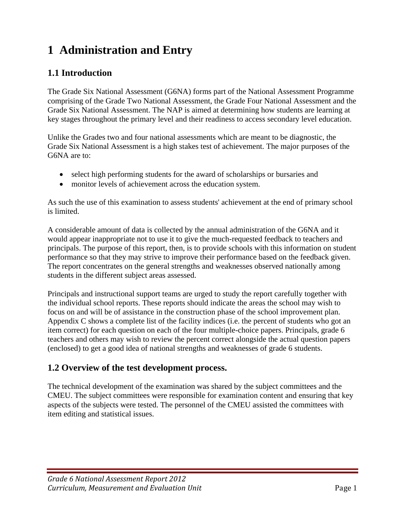# **1 Administration and Entry**

## **1.1 Introduction**

The Grade Six National Assessment (G6NA) forms part of the National Assessment Programme comprising of the Grade Two National Assessment, the Grade Four National Assessment and the Grade Six National Assessment. The NAP is aimed at determining how students are learning at key stages throughout the primary level and their readiness to access secondary level education.

Unlike the Grades two and four national assessments which are meant to be diagnostic, the Grade Six National Assessment is a high stakes test of achievement. The major purposes of the G6NA are to:

- select high performing students for the award of scholarships or bursaries and
- monitor levels of achievement across the education system.

As such the use of this examination to assess students' achievement at the end of primary school is limited.

A considerable amount of data is collected by the annual administration of the G6NA and it would appear inappropriate not to use it to give the much-requested feedback to teachers and principals. The purpose of this report, then, is to provide schools with this information on student performance so that they may strive to improve their performance based on the feedback given. The report concentrates on the general strengths and weaknesses observed nationally among students in the different subject areas assessed.

Principals and instructional support teams are urged to study the report carefully together with the individual school reports. These reports should indicate the areas the school may wish to focus on and will be of assistance in the construction phase of the school improvement plan. Appendix C shows a complete list of the facility indices (i.e. the percent of students who got an item correct) for each question on each of the four multiple-choice papers. Principals, grade 6 teachers and others may wish to review the percent correct alongside the actual question papers (enclosed) to get a good idea of national strengths and weaknesses of grade 6 students.

## **1.2 Overview of the test development process.**

The technical development of the examination was shared by the subject committees and the CMEU. The subject committees were responsible for examination content and ensuring that key aspects of the subjects were tested. The personnel of the CMEU assisted the committees with item editing and statistical issues.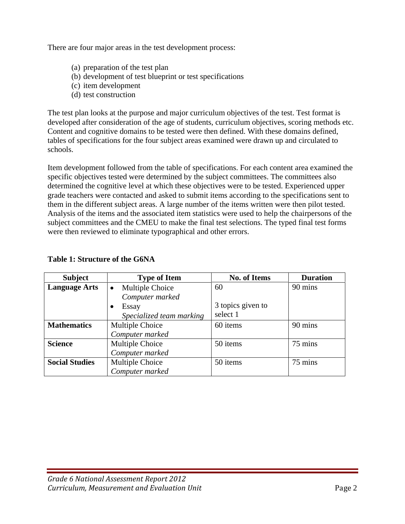There are four major areas in the test development process:

- (a) preparation of the test plan
- (b) development of test blueprint or test specifications
- (c) item development
- (d) test construction

The test plan looks at the purpose and major curriculum objectives of the test. Test format is developed after consideration of the age of students, curriculum objectives, scoring methods etc. Content and cognitive domains to be tested were then defined. With these domains defined, tables of specifications for the four subject areas examined were drawn up and circulated to schools.

Item development followed from the table of specifications. For each content area examined the specific objectives tested were determined by the subject committees. The committees also determined the cognitive level at which these objectives were to be tested. Experienced upper grade teachers were contacted and asked to submit items according to the specifications sent to them in the different subject areas. A large number of the items written were then pilot tested. Analysis of the items and the associated item statistics were used to help the chairpersons of the subject committees and the CMEU to make the final test selections. The typed final test forms were then reviewed to eliminate typographical and other errors.

| <b>Subject</b>        | <b>Type of Item</b>          | <b>No. of Items</b> | <b>Duration</b> |
|-----------------------|------------------------------|---------------------|-----------------|
| <b>Language Arts</b>  | Multiple Choice<br>$\bullet$ | 60                  | 90 mins         |
|                       | Computer marked              |                     |                 |
|                       | Essay                        | 3 topics given to   |                 |
|                       | Specialized team marking     | select 1            |                 |
| <b>Mathematics</b>    | Multiple Choice              | 60 items            | 90 mins         |
|                       | Computer marked              |                     |                 |
| <b>Science</b>        | Multiple Choice              | 50 items            | 75 mins         |
|                       | Computer marked              |                     |                 |
| <b>Social Studies</b> | Multiple Choice              | 50 items            | 75 mins         |
|                       | Computer marked              |                     |                 |

## **Table 1: Structure of the G6NA**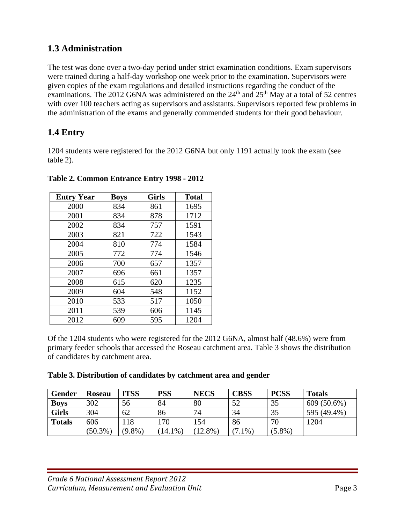# **1.3 Administration**

The test was done over a two-day period under strict examination conditions. Exam supervisors were trained during a half-day workshop one week prior to the examination. Supervisors were given copies of the exam regulations and detailed instructions regarding the conduct of the examinations. The 2012 G6NA was administered on the  $24<sup>th</sup>$  and  $25<sup>th</sup>$  May at a total of 52 centres with over 100 teachers acting as supervisors and assistants. Supervisors reported few problems in the administration of the exams and generally commended students for their good behaviour.

# **1.4 Entry**

1204 students were registered for the 2012 G6NA but only 1191 actually took the exam (see table 2).

| <b>Entry Year</b> | <b>Boys</b> | <b>Girls</b> | <b>Total</b> |
|-------------------|-------------|--------------|--------------|
| 2000              | 834         | 861          | 1695         |
| 2001              | 834         | 878          | 1712         |
| 2002              | 834         | 757          | 1591         |
| 2003              | 821         | 722          | 1543         |
| 2004              | 810         | 774          | 1584         |
| 2005              | 772         | 774          | 1546         |
| 2006              | 700         | 657          | 1357         |
| 2007              | 696         | 661          | 1357         |
| 2008              | 615         | 620          | 1235         |
| 2009              | 604         | 548          | 1152         |
| 2010              | 533         | 517          | 1050         |
| 2011              | 539         | 606          | 1145         |
| 2012              | 609         | 595          | 1204         |

**Table 2. Common Entrance Entry 1998 - 2012** 

Of the 1204 students who were registered for the 2012 G6NA, almost half (48.6%) were from primary feeder schools that accessed the Roseau catchment area. Table 3 shows the distribution of candidates by catchment area.

## **Table 3. Distribution of candidates by catchment area and gender**

| Gender        | <b>Roseau</b> | <b>ITSS</b> | <b>PSS</b> | <b>NECS</b> | <b>CBSS</b> | <b>PCSS</b> | <b>Totals</b> |
|---------------|---------------|-------------|------------|-------------|-------------|-------------|---------------|
| <b>Boys</b>   | 302           | 56          | 84         | 80          | 52          | 35          | $609(50.6\%)$ |
| <b>Girls</b>  | 304           | 62          | 86         | 74          | 34          | 35          | 595 (49.4%)   |
| <b>Totals</b> | 606           | 18          | .70        | 154         | 86          | 70          | 1204          |
|               | $(50.3\%)$    | $(9.8\%)$   | 14.1%      | 12.8%       | $.1\%$      | $(5.8\%)$   |               |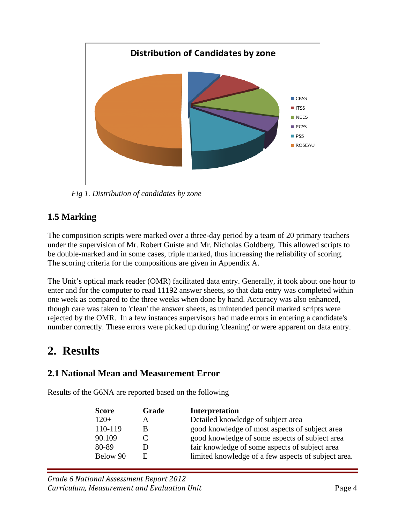

 *Fig 1. Distribution of candidates by zone* 

# **1.5 Marking**

The composition scripts were marked over a three-day period by a team of 20 primary teachers under the supervision of Mr. Robert Guiste and Mr. Nicholas Goldberg. This allowed scripts to be double-marked and in some cases, triple marked, thus increasing the reliability of scoring. The scoring criteria for the compositions are given in Appendix A.

The Unit's optical mark reader (OMR) facilitated data entry. Generally, it took about one hour to enter and for the computer to read 11192 answer sheets, so that data entry was completed within one week as compared to the three weeks when done by hand. Accuracy was also enhanced, though care was taken to 'clean' the answer sheets, as unintended pencil marked scripts were rejected by the OMR. In a few instances supervisors had made errors in entering a candidate's number correctly. These errors were picked up during 'cleaning' or were apparent on data entry.

# **2. Results**

## **2.1 National Mean and Measurement Error**

Results of the G6NA are reported based on the following

| <b>Score</b> | Grade | <b>Interpretation</b>                               |
|--------------|-------|-----------------------------------------------------|
| $120+$       | A     | Detailed knowledge of subject area                  |
| 110-119      | B     | good knowledge of most aspects of subject area      |
| 90.109       |       | good knowledge of some aspects of subject area      |
| 80-89        |       | fair knowledge of some aspects of subject area      |
| Below 90     | E     | limited knowledge of a few aspects of subject area. |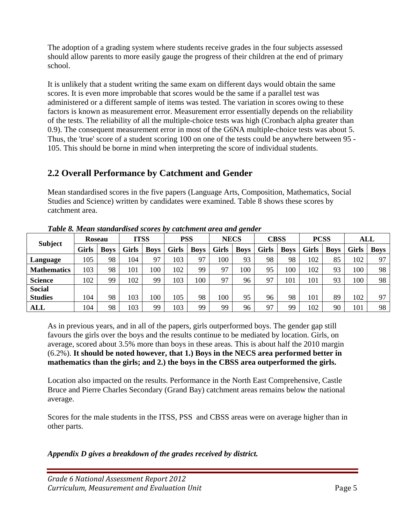The adoption of a grading system where students receive grades in the four subjects assessed should allow parents to more easily gauge the progress of their children at the end of primary school.

It is unlikely that a student writing the same exam on different days would obtain the same scores. It is even more improbable that scores would be the same if a parallel test was administered or a different sample of items was tested. The variation in scores owing to these factors is known as measurement error. Measurement error essentially depends on the reliability of the tests. The reliability of all the multiple-choice tests was high (Cronbach alpha greater than 0.9). The consequent measurement error in most of the G6NA multiple-choice tests was about 5. Thus, the 'true' score of a student scoring 100 on one of the tests could be anywhere between 95 - 105. This should be borne in mind when interpreting the score of individual students.

# **2.2 Overall Performance by Catchment and Gender**

Mean standardised scores in the five papers (Language Arts, Composition, Mathematics, Social Studies and Science) written by candidates were examined. Table 8 shows these scores by catchment area.

|                    | <b>Roseau</b> |             |       | <b>ITSS</b> | <b>PSS</b>   |             |       | <b>NECS</b> |              | <b>CBSS</b> | <b>PCSS</b>  |             |       | ALL         |
|--------------------|---------------|-------------|-------|-------------|--------------|-------------|-------|-------------|--------------|-------------|--------------|-------------|-------|-------------|
| <b>Subject</b>     | <b>Girls</b>  | <b>Boys</b> | Girls | <b>Boys</b> | <b>Girls</b> | <b>Boys</b> | Girls | <b>Boys</b> | <b>Girls</b> | <b>Boys</b> | <b>Girls</b> | <b>Boys</b> | Girls | <b>Boys</b> |
| Language           | 105           | 98          | 104   | 97          | 103          | 97          | 100   | 93          | 98           | 98          | 102          | 85          | 102   | 97          |
| <b>Mathematics</b> | 103           | 98          | 101   | 100         | 102          | 99          | 97    | 100         | 95           | 100         | 102          | 93          | 100   | 98          |
| <b>Science</b>     | 102           | 99          | 102   | 99          | 103          | 100         | 97    | 96          | 97           | 101         | 101          | 93          | 100   | 98          |
| <b>Social</b>      |               |             |       |             |              |             |       |             |              |             |              |             |       |             |
| <b>Studies</b>     | 104           | 98          | 103   | 100         | 105          | 98          | 100   | 95          | 96           | 98          | 101          | 89          | 102   | 97          |
| <b>ALL</b>         | 104           | 98          | 103   | 99          | 103          | 99          | 99    | 96          | 97           | 99          | 102          | 90          | 101   | 98          |

*Table 8. Mean standardised scores by catchment area and gender* 

As in previous years, and in all of the papers, girls outperformed boys. The gender gap still favours the girls over the boys and the results continue to be mediated by location. Girls, on average, scored about 3.5% more than boys in these areas. This is about half the 2010 margin (6.2%). **It should be noted however, that 1.) Boys in the NECS area performed better in mathematics than the girls; and 2.) the boys in the CBSS area outperformed the girls.** 

Location also impacted on the results. Performance in the North East Comprehensive, Castle Bruce and Pierre Charles Secondary (Grand Bay) catchment areas remains below the national average.

Scores for the male students in the ITSS, PSS and CBSS areas were on average higher than in other parts.

## *Appendix D gives a breakdown of the grades received by district.*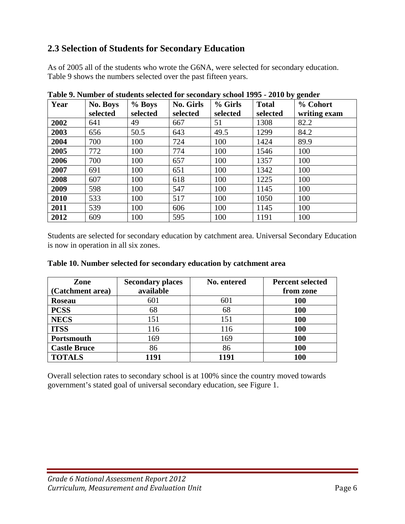# **2.3 Selection of Students for Secondary Education**

As of 2005 all of the students who wrote the G6NA, were selected for secondary education. Table 9 shows the numbers selected over the past fifteen years.

| Year | <b>No. Boys</b> | % Boys   | <b>No. Girls</b> | % Girls  | <b>Total</b> | <u>ം ക</u> -----<br>% Cohort |
|------|-----------------|----------|------------------|----------|--------------|------------------------------|
|      | selected        | selected | selected         | selected | selected     | writing exam                 |
| 2002 | 641             | 49       | 667              | 51       | 1308         | 82.2                         |
| 2003 | 656             | 50.5     | 643              | 49.5     | 1299         | 84.2                         |
| 2004 | 700             | 100      | 724              | 100      | 1424         | 89.9                         |
| 2005 | 772             | 100      | 774              | 100      | 1546         | 100                          |
| 2006 | 700             | 100      | 657              | 100      | 1357         | 100                          |
| 2007 | 691             | 100      | 651              | 100      | 1342         | 100                          |
| 2008 | 607             | 100      | 618              | 100      | 1225         | 100                          |
| 2009 | 598             | 100      | 547              | 100      | 1145         | 100                          |
| 2010 | 533             | 100      | 517              | 100      | 1050         | 100                          |
| 2011 | 539             | 100      | 606              | 100      | 1145         | 100                          |
| 2012 | 609             | 100      | 595              | 100      | 1191         | 100                          |

**Table 9. Number of students selected for secondary school 1995 - 2010 by gender** 

Students are selected for secondary education by catchment area. Universal Secondary Education is now in operation in all six zones.

| Zone                | <b>Secondary places</b> | No. entered | <b>Percent selected</b> |
|---------------------|-------------------------|-------------|-------------------------|
| (Catchment area)    | available               |             | from zone               |
| <b>Roseau</b>       | 601                     | 601         | <b>100</b>              |
| <b>PCSS</b>         | 68                      | 68          | <b>100</b>              |
| <b>NECS</b>         | 151                     | 151         | 100                     |
| <b>ITSS</b>         | 116                     | 116         | 100                     |
| Portsmouth          | 169                     | 169         | 100                     |
| <b>Castle Bruce</b> | 86                      | 86          | 100                     |
| <b>TOTALS</b>       | 1191                    | 1191        | 100                     |

#### **Table 10. Number selected for secondary education by catchment area**

Overall selection rates to secondary school is at 100% since the country moved towards government's stated goal of universal secondary education, see Figure 1.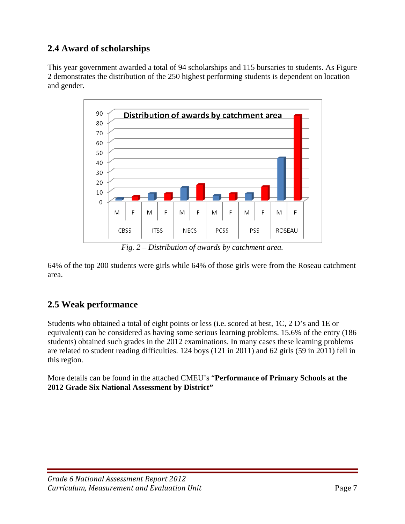# **2.4 Award of scholarships**

This year government awarded a total of 94 scholarships and 115 bursaries to students. As Figure 2 demonstrates the distribution of the 250 highest performing students is dependent on location and gender.



*Fig. 2 – Distribution of awards by catchment area.* 

64% of the top 200 students were girls while 64% of those girls were from the Roseau catchment area.

# **2.5 Weak performance**

Students who obtained a total of eight points or less (i.e. scored at best, 1C, 2 D's and 1E or equivalent) can be considered as having some serious learning problems. 15.6% of the entry (186 students) obtained such grades in the 2012 examinations. In many cases these learning problems are related to student reading difficulties. 124 boys (121 in 2011) and 62 girls (59 in 2011) fell in this region.

More details can be found in the attached CMEU's "**Performance of Primary Schools at the 2012 Grade Six National Assessment by District"**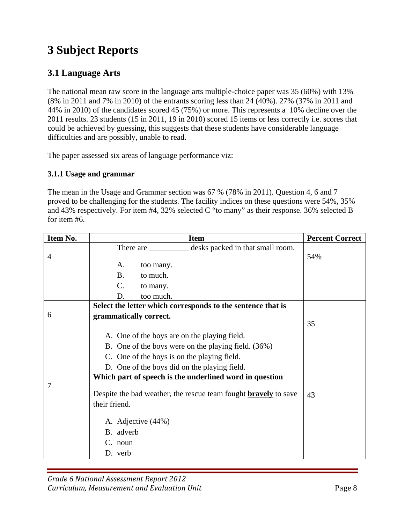# **3 Subject Reports**

## **3.1 Language Arts**

The national mean raw score in the language arts multiple-choice paper was 35 (60%) with 13% (8% in 2011 and 7% in 2010) of the entrants scoring less than 24 (40%). 27% (37% in 2011 and 44% in 2010) of the candidates scored 45 (75%) or more. This represents a 10% decline over the 2011 results. 23 students (15 in 2011, 19 in 2010) scored 15 items or less correctly i.e. scores that could be achieved by guessing, this suggests that these students have considerable language difficulties and are possibly, unable to read.

The paper assessed six areas of language performance viz:

## **3.1.1 Usage and grammar**

The mean in the Usage and Grammar section was 67 % (78% in 2011). Question 4, 6 and 7 proved to be challenging for the students. The facility indices on these questions were 54%, 35% and 43% respectively. For item #4, 32% selected C "to many" as their response. 36% selected B for item #6.

| Item No. | <b>Item</b>                                                                             | <b>Percent Correct</b> |
|----------|-----------------------------------------------------------------------------------------|------------------------|
|          | desks packed in that small room.<br>There are                                           |                        |
| 4        |                                                                                         | 54%                    |
|          | A.<br>too many.                                                                         |                        |
|          | <b>B.</b><br>to much.                                                                   |                        |
|          | $C$ .<br>to many.                                                                       |                        |
|          | D.<br>too much.                                                                         |                        |
|          | Select the letter which corresponds to the sentence that is                             |                        |
| 6        | grammatically correct.                                                                  |                        |
|          |                                                                                         | 35                     |
|          | A. One of the boys are on the playing field.                                            |                        |
|          | B. One of the boys were on the playing field. (36%)                                     |                        |
|          | C. One of the boys is on the playing field.                                             |                        |
|          | D. One of the boys did on the playing field.                                            |                        |
|          | Which part of speech is the underlined word in question                                 |                        |
| 7        | Despite the bad weather, the rescue team fought <b>bravely</b> to save<br>their friend. | 43                     |
|          | A. Adjective (44%)                                                                      |                        |
|          | B. adverb                                                                               |                        |
|          | C. noun                                                                                 |                        |
|          | D. verb                                                                                 |                        |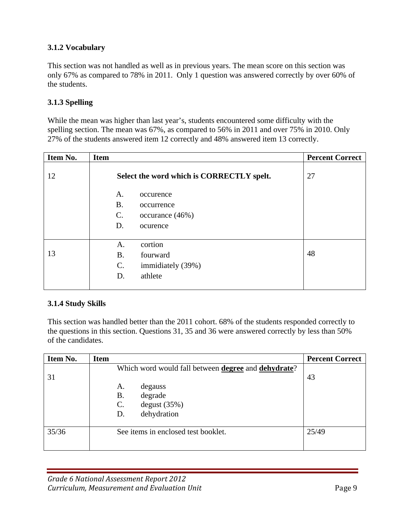## **3.1.2 Vocabulary**

This section was not handled as well as in previous years. The mean score on this section was only 67% as compared to 78% in 2011. Only 1 question was answered correctly by over 60% of the students.

## **3.1.3 Spelling**

While the mean was higher than last year's, students encountered some difficulty with the spelling section. The mean was 67%, as compared to 56% in 2011 and over 75% in 2010. Only 27% of the students answered item 12 correctly and 48% answered item 13 correctly.

| Item No. | <b>Item</b>                               | <b>Percent Correct</b> |
|----------|-------------------------------------------|------------------------|
| 12       | Select the word which is CORRECTLY spelt. | 27                     |
|          | A.<br>occurence                           |                        |
|          | <b>B.</b><br>occurrence                   |                        |
|          | $\mathsf{C}$ .<br>occurance (46%)         |                        |
|          | D.<br>ocurence                            |                        |
|          |                                           |                        |
|          | cortion<br>А.                             |                        |
| 13       | <b>B.</b><br>fourward                     | 48                     |
|          | C.<br>immidiately (39%)                   |                        |
|          | athlete<br>D.                             |                        |
|          |                                           |                        |

#### **3.1.4 Study Skills**

This section was handled better than the 2011 cohort. 68% of the students responded correctly to the questions in this section. Questions 31, 35 and 36 were answered correctly by less than 50% of the candidates.

| Item No. | <b>Item</b>                                                        | <b>Percent Correct</b> |
|----------|--------------------------------------------------------------------|------------------------|
|          | Which word would fall between <b>degree</b> and <b>dehydrate</b> ? |                        |
| 31       |                                                                    | 43                     |
|          | A.<br>degauss                                                      |                        |
|          | degrade<br>Β.                                                      |                        |
|          | $\mathcal{C}$ .<br>degust(35%)                                     |                        |
|          | dehydration<br>D.                                                  |                        |
|          |                                                                    |                        |
| 35/36    | See items in enclosed test booklet.                                | 25/49                  |
|          |                                                                    |                        |
|          |                                                                    |                        |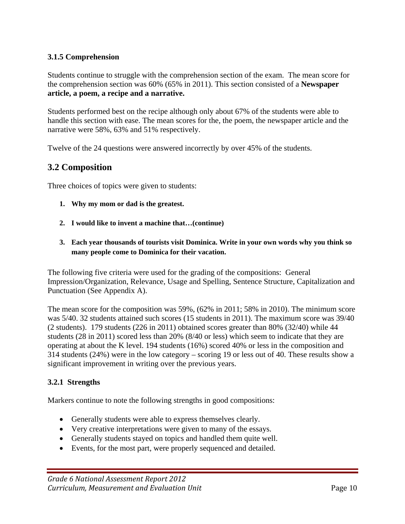## **3.1.5 Comprehension**

Students continue to struggle with the comprehension section of the exam. The mean score for the comprehension section was 60% (65% in 2011). This section consisted of a **Newspaper article, a poem, a recipe and a narrative.** 

Students performed best on the recipe although only about 67% of the students were able to handle this section with ease. The mean scores for the, the poem, the newspaper article and the narrative were 58%, 63% and 51% respectively.

Twelve of the 24 questions were answered incorrectly by over 45% of the students.

## **3.2 Composition**

Three choices of topics were given to students:

- **1. Why my mom or dad is the greatest.**
- **2. I would like to invent a machine that…(continue)**
- **3. Each year thousands of tourists visit Dominica. Write in your own words why you think so many people come to Dominica for their vacation.**

The following five criteria were used for the grading of the compositions: General Impression/Organization, Relevance, Usage and Spelling, Sentence Structure, Capitalization and Punctuation (See Appendix A).

The mean score for the composition was 59%, (62% in 2011; 58% in 2010). The minimum score was 5/40. 32 students attained such scores (15 students in 2011). The maximum score was 39/40 (2 students). 179 students (226 in 2011) obtained scores greater than 80% (32/40) while 44 students (28 in 2011) scored less than 20% (8/40 or less) which seem to indicate that they are operating at about the K level. 194 students (16%) scored 40% or less in the composition and 314 students (24%) were in the low category – scoring 19 or less out of 40. These results show a significant improvement in writing over the previous years.

#### **3.2.1 Strengths**

Markers continue to note the following strengths in good compositions:

- Generally students were able to express themselves clearly.
- Very creative interpretations were given to many of the essays.
- Generally students stayed on topics and handled them quite well.
- Events, for the most part, were properly sequenced and detailed.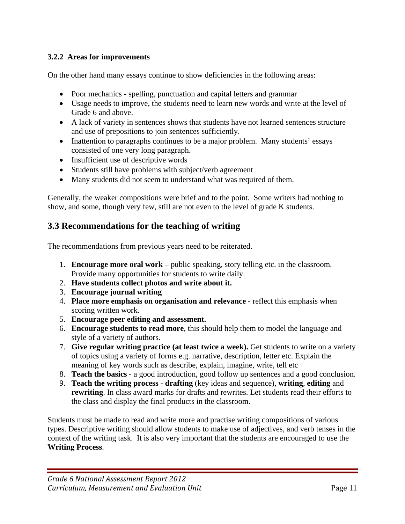## **3.2.2 Areas for improvements**

On the other hand many essays continue to show deficiencies in the following areas:

- Poor mechanics spelling, punctuation and capital letters and grammar
- Usage needs to improve, the students need to learn new words and write at the level of Grade 6 and above.
- A lack of variety in sentences shows that students have not learned sentences structure and use of prepositions to join sentences sufficiently.
- Inattention to paragraphs continues to be a major problem. Many students' essays consisted of one very long paragraph.
- Insufficient use of descriptive words
- Students still have problems with subject/verb agreement
- Many students did not seem to understand what was required of them.

Generally, the weaker compositions were brief and to the point. Some writers had nothing to show, and some, though very few, still are not even to the level of grade K students.

## **3.3 Recommendations for the teaching of writing**

The recommendations from previous years need to be reiterated.

- 1. **Encourage more oral work** public speaking, story telling etc. in the classroom. Provide many opportunities for students to write daily.
- 2. **Have students collect photos and write about it.**
- 3. **Encourage journal writing**
- 4. **Place more emphasis on organisation and relevance** reflect this emphasis when scoring written work.
- 5. **Encourage peer editing and assessment.**
- 6. **Encourage students to read more**, this should help them to model the language and style of a variety of authors.
- 7. **Give regular writing practice (at least twice a week).** Get students to write on a variety of topics using a variety of forms e.g. narrative, description, letter etc. Explain the meaning of key words such as describe, explain, imagine, write, tell etc
- 8. **Teach the basics** a good introduction, good follow up sentences and a good conclusion.
- 9. **Teach the writing process drafting** (key ideas and sequence), **writing**, **editing** and **rewriting**. In class award marks for drafts and rewrites. Let students read their efforts to the class and display the final products in the classroom.

Students must be made to read and write more and practise writing compositions of various types. Descriptive writing should allow students to make use of adjectives, and verb tenses in the context of the writing task. It is also very important that the students are encouraged to use the **Writing Process**.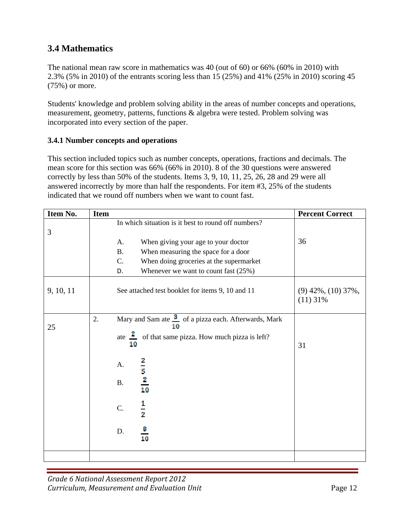# **3.4 Mathematics**

The national mean raw score in mathematics was 40 (out of 60) or 66% (60% in 2010) with 2.3% (5% in 2010) of the entrants scoring less than 15 (25%) and 41% (25% in 2010) scoring 45 (75%) or more.

Students' knowledge and problem solving ability in the areas of number concepts and operations, measurement, geometry, patterns, functions & algebra were tested. Problem solving was incorporated into every section of the paper.

## **3.4.1 Number concepts and operations**

This section included topics such as number concepts, operations, fractions and decimals. The mean score for this section was 66% (66% in 2010). 8 of the 30 questions were answered correctly by less than 50% of the students. Items 3, 9, 10, 11, 25, 26, 28 and 29 were all answered incorrectly by more than half the respondents. For item #3, 25% of the students indicated that we round off numbers when we want to count fast.

| Item No.  | <b>Item</b> |                                                               | <b>Percent Correct</b>               |
|-----------|-------------|---------------------------------------------------------------|--------------------------------------|
| 3         |             | In which situation is it best to round off numbers?           |                                      |
|           |             | When giving your age to your doctor<br>A.                     | 36                                   |
|           |             | <b>B.</b><br>When measuring the space for a door              |                                      |
|           |             | C.<br>When doing groceries at the supermarket                 |                                      |
|           |             | Whenever we want to count fast $(25%)$<br>D.                  |                                      |
| 9, 10, 11 |             | See attached test booklet for items 9, 10 and 11              | $(9)$ 42%, $(10)$ 37%,<br>$(11)$ 31% |
|           | 2.          | Mary and Sam ate 3 of a pizza each. Afterwards, Mark          |                                      |
| 25        |             | ate $\frac{z}{z}$ of that same pizza. How much pizza is left? |                                      |
|           |             | 10                                                            | 31                                   |
|           |             | A.                                                            |                                      |
|           |             | $\frac{2}{5}$ $\frac{2}{10}$<br>$\mathbf{B}.$                 |                                      |
|           |             | $\frac{1}{2}$<br>C.                                           |                                      |
|           |             | $\frac{8}{10}$<br>D.                                          |                                      |
|           |             |                                                               |                                      |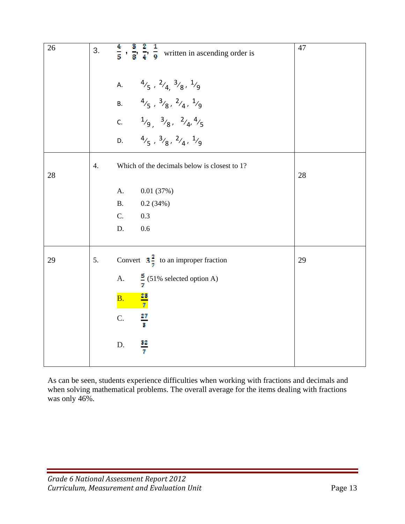| 26 | 3. | $\mathbf{2}$<br>$\frac{4}{5}$ , $\frac{8}{8}$ , $\frac{2}{4}$ , $\frac{1}{9}$ written in ascending order is | 47 |
|----|----|-------------------------------------------------------------------------------------------------------------|----|
|    |    | A. $4/5$ , $2/4$ , $3/8$ , $1/9$                                                                            |    |
|    |    | B. $4/5$ , $3/8$ , $2/4$ , $1/9$                                                                            |    |
|    |    | c. $1/9, 3/8, 2/4, 4/5$                                                                                     |    |
|    |    | $4/5$ , $3/8$ , $2/4$ , $1/9$<br>D.                                                                         |    |
| 28 | 4. | Which of the decimals below is closest to 1?                                                                | 28 |
|    |    | A.<br>0.01(37%)                                                                                             |    |
|    |    | <b>B.</b><br>0.2(34%)                                                                                       |    |
|    |    | C.<br>0.3                                                                                                   |    |
|    |    | D.<br>0.6                                                                                                   |    |
| 29 | 5. | Convert $3\frac{2}{7}$ to an improper fraction                                                              | 29 |
|    |    | A. $\frac{5}{7}$ (51% selected option A)                                                                    |    |
|    |    | $\frac{23}{7}$<br>B <sub>1</sub>                                                                            |    |
|    |    | $\frac{27}{3}$<br>$\mathbf C.$                                                                              |    |
|    |    | $\frac{32}{7}$<br>D.                                                                                        |    |

As can be seen, students experience difficulties when working with fractions and decimals and when solving mathematical problems. The overall average for the items dealing with fractions was only 46%.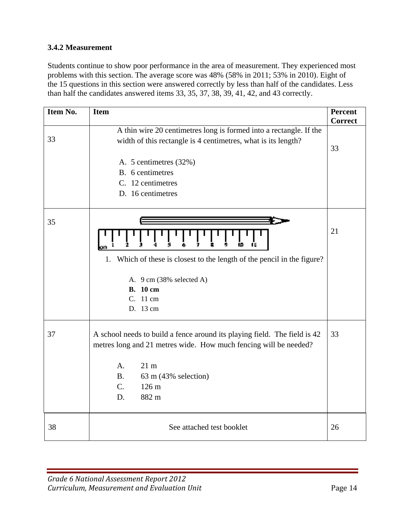## **3.4.2 Measurement**

Students continue to show poor performance in the area of measurement. They experienced most problems with this section. The average score was 48% (58% in 2011; 53% in 2010). Eight of the 15 questions in this section were answered correctly by less than half of the candidates. Less than half the candidates answered items 33, 35, 37, 38, 39, 41, 42, and 43 correctly.

| Item No. | <b>Item</b>                                                                                                                                                                                                                                                               | <b>Percent</b><br><b>Correct</b> |
|----------|---------------------------------------------------------------------------------------------------------------------------------------------------------------------------------------------------------------------------------------------------------------------------|----------------------------------|
| 33       | A thin wire 20 centimetres long is formed into a rectangle. If the<br>width of this rectangle is 4 centimetres, what is its length?<br>A. 5 centimetres (32%)<br>B. 6 centimetres<br>C. 12 centimetres<br>D. 16 centimetres                                               | 33                               |
| 35       | Which of these is closest to the length of the pencil in the figure?<br>1.<br>A. 9 cm (38% selected A)<br><b>B.</b> 10 cm<br>C. 11 cm<br>D. 13 cm                                                                                                                         | 21                               |
| 37       | A school needs to build a fence around its playing field. The field is 42<br>metres long and 21 metres wide. How much fencing will be needed?<br>A <sub>1</sub><br>21 <sub>m</sub><br><b>B.</b><br>63 m (43% selection)<br>126 <sub>m</sub><br>$C_{\cdot}$<br>D.<br>882 m | 33                               |
| 38       | See attached test booklet                                                                                                                                                                                                                                                 | 26                               |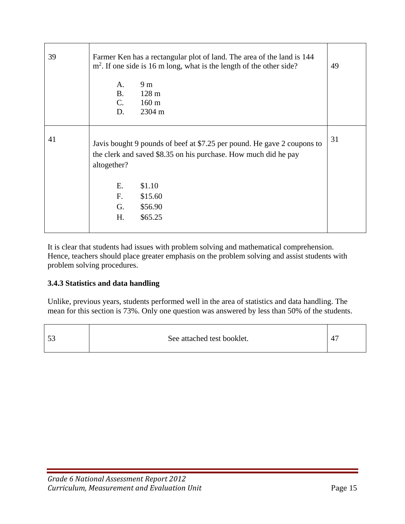| 39 | Farmer Ken has a rectangular plot of land. The area of the land is 144<br>$m2$ . If one side is 16 m long, what is the length of the other side?          |    |  |
|----|-----------------------------------------------------------------------------------------------------------------------------------------------------------|----|--|
|    | 9 <sub>m</sub><br>A.                                                                                                                                      |    |  |
|    | <b>B.</b><br>128 <sub>m</sub>                                                                                                                             |    |  |
|    | $C_{\cdot}$<br>$160 \text{ m}$                                                                                                                            |    |  |
|    | D.<br>2304 m                                                                                                                                              |    |  |
|    |                                                                                                                                                           |    |  |
| 41 | Javis bought 9 pounds of beef at \$7.25 per pound. He gave 2 coupons to<br>the clerk and saved \$8.35 on his purchase. How much did he pay<br>altogether? | 31 |  |
|    | \$1.10<br>E.                                                                                                                                              |    |  |
|    | F.<br>\$15.60                                                                                                                                             |    |  |
|    | G.<br>\$56.90                                                                                                                                             |    |  |
|    | H.<br>\$65.25                                                                                                                                             |    |  |
|    |                                                                                                                                                           |    |  |

It is clear that students had issues with problem solving and mathematical comprehension. Hence, teachers should place greater emphasis on the problem solving and assist students with problem solving procedures.

## **3.4.3 Statistics and data handling**

Unlike, previous years, students performed well in the area of statistics and data handling. The mean for this section is 73%. Only one question was answered by less than 50% of the students.

| $\epsilon$<br>See attached test booklet.<br>ັບ | 47 |
|------------------------------------------------|----|
|------------------------------------------------|----|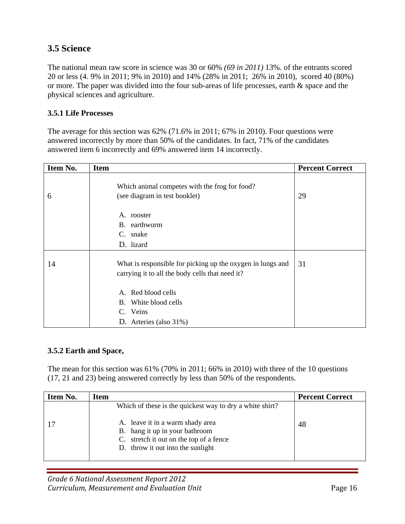## **3.5 Science**

The national mean raw score in science was 30 or 60% *(69 in 2011)* 13%*.* of the entrants scored 20 or less (4. 9% in 2011; 9% in 2010) and 14% (28% in 2011; 26% in 2010), scored 40 (80%) or more. The paper was divided into the four sub-areas of life processes, earth & space and the physical sciences and agriculture.

### **3.5.1 Life Processes**

The average for this section was 62% (71.6% in 2011; 67% in 2010). Four questions were answered incorrectly by more than 50% of the candidates. In fact, 71% of the candidates answered item 6 incorrectly and 69% answered item 14 incorrectly.

| Item No. | <b>Item</b>                                                                                                   | <b>Percent Correct</b> |
|----------|---------------------------------------------------------------------------------------------------------------|------------------------|
| 6        | Which animal competes with the frog for food?<br>(see diagram in test booklet)                                | 29                     |
|          | A. rooster<br>B. earthworm<br>C. snake<br>D. lizard                                                           |                        |
| 14       | What is responsible for picking up the oxygen in lungs and<br>carrying it to all the body cells that need it? | 31                     |
|          | A. Red blood cells<br>B. White blood cells<br>C. Veins<br>D. Arteries (also 31%)                              |                        |

#### **3.5.2 Earth and Space,**

The mean for this section was 61% (70% in 2011; 66% in 2010) with three of the 10 questions (17, 21 and 23) being answered correctly by less than 50% of the respondents.

| Item No. | Item                                                                                                                                               | <b>Percent Correct</b> |
|----------|----------------------------------------------------------------------------------------------------------------------------------------------------|------------------------|
|          | Which of these is the quickest way to dry a white shirt?                                                                                           |                        |
|          | A. leave it in a warm shady area<br>B. hang it up in your bathroom<br>C. stretch it out on the top of a fence<br>D. throw it out into the sunlight | 48                     |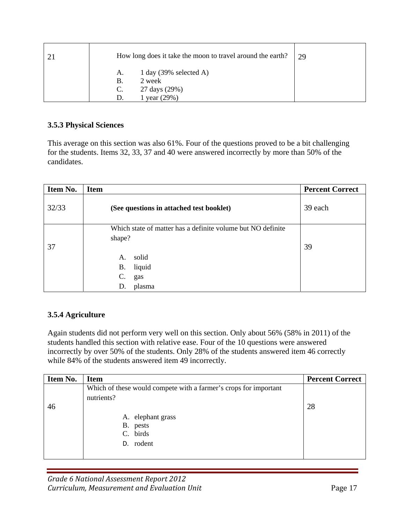| How long does it take the moon to travel around the earth? | 29 |
|------------------------------------------------------------|----|
| 1 day $(39\% \text{ selected A})$<br>A.                    |    |
| 2 week<br><b>B.</b>                                        |    |
| 27 days (29%)<br>$C_{\cdot}$                               |    |
| year $(29%)$                                               |    |

## **3.5.3 Physical Sciences**

This average on this section was also 61%. Four of the questions proved to be a bit challenging for the students. Items 32, 33, 37 and 40 were answered incorrectly by more than 50% of the candidates.

| Item No. | <b>Item</b>                                                                                          | <b>Percent Correct</b> |
|----------|------------------------------------------------------------------------------------------------------|------------------------|
| 32/33    | (See questions in attached test booklet)                                                             | 39 each                |
| 37       | Which state of matter has a definite volume but NO definite<br>shape?<br>solid<br>A.<br>liquid<br>В. | 39                     |
|          | C.<br>gas<br>plasma<br>D.                                                                            |                        |

## **3.5.4 Agriculture**

Again students did not perform very well on this section. Only about 56% (58% in 2011) of the students handled this section with relative ease. Four of the 10 questions were answered incorrectly by over 50% of the students. Only 28% of the students answered item 46 correctly while 84% of the students answered item 49 incorrectly.

| Item No. | <b>Item</b>                                                      | <b>Percent Correct</b> |
|----------|------------------------------------------------------------------|------------------------|
|          | Which of these would compete with a farmer's crops for important |                        |
|          | nutrients?                                                       |                        |
| 46       |                                                                  | 28                     |
|          | A. elephant grass                                                |                        |
|          | B. pests                                                         |                        |
|          | birds<br>C.                                                      |                        |
|          | rodent<br>D.                                                     |                        |
|          |                                                                  |                        |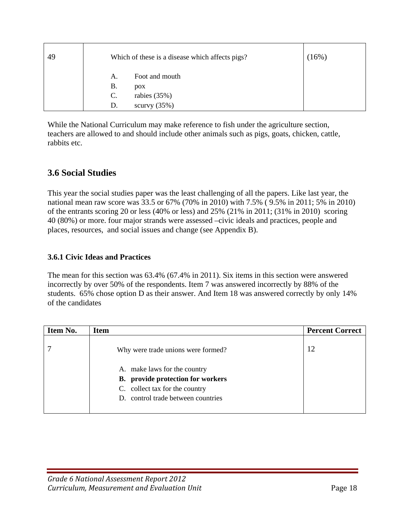| 49 |    | Which of these is a disease which affects pigs? | (16%) |
|----|----|-------------------------------------------------|-------|
|    | А. | Foot and mouth                                  |       |
|    | Β. | pox                                             |       |
|    | C. | rabies $(35%)$                                  |       |
|    | D. | scurvy $(35\%)$                                 |       |

While the National Curriculum may make reference to fish under the agriculture section, teachers are allowed to and should include other animals such as pigs, goats, chicken, cattle, rabbits etc.

## **3.6 Social Studies**

This year the social studies paper was the least challenging of all the papers. Like last year, the national mean raw score was 33.5 or 67% (70% in 2010) with 7.5% ( 9.5% in 2011; 5% in 2010) of the entrants scoring 20 or less (40% or less) and 25% (21% in 2011; (31% in 2010) scoring 40 (80%) or more. four major strands were assessed –civic ideals and practices, people and places, resources, and social issues and change (see Appendix B).

## **3.6.1 Civic Ideas and Practices**

The mean for this section was 63.4% (67.4% in 2011). Six items in this section were answered incorrectly by over 50% of the respondents. Item 7 was answered incorrectly by 88% of the students. 65% chose option D as their answer. And Item 18 was answered correctly by only 14% of the candidates

| Item No. | Item                                                                                                                                             | <b>Percent Correct</b> |
|----------|--------------------------------------------------------------------------------------------------------------------------------------------------|------------------------|
|          | Why were trade unions were formed?                                                                                                               | 12                     |
|          | A. make laws for the country<br><b>B.</b> provide protection for workers<br>C. collect tax for the country<br>D. control trade between countries |                        |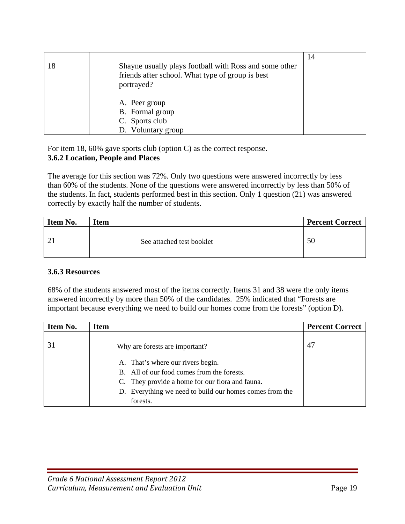| 18 | Shayne usually plays football with Ross and some other<br>friends after school. What type of group is best<br>portrayed? | 14 |
|----|--------------------------------------------------------------------------------------------------------------------------|----|
|    | A. Peer group<br>B. Formal group<br>C. Sports club<br>D. Voluntary group                                                 |    |

For item 18, 60% gave sports club (option C) as the correct response. **3.6.2 Location, People and Places** 

The average for this section was 72%. Only two questions were answered incorrectly by less than 60% of the students. None of the questions were answered incorrectly by less than 50% of the students. In fact, students performed best in this section. Only 1 question (21) was answered correctly by exactly half the number of students.

| Item No. | <b>Item</b>               | <b>Percent Correct</b> |
|----------|---------------------------|------------------------|
|          | See attached test booklet | 50                     |

#### **3.6.3 Resources**

68% of the students answered most of the items correctly. Items 31 and 38 were the only items answered incorrectly by more than 50% of the candidates. 25% indicated that "Forests are important because everything we need to build our homes come from the forests" (option D).

| Item No. | <b>Item</b>                                             | <b>Percent Correct</b> |
|----------|---------------------------------------------------------|------------------------|
|          | Why are forests are important?                          | 47                     |
|          | A. That's where our rivers begin.                       |                        |
|          | B. All of our food comes from the forests.              |                        |
|          | C. They provide a home for our flora and fauna.         |                        |
|          | D. Everything we need to build our homes comes from the |                        |
|          | forests.                                                |                        |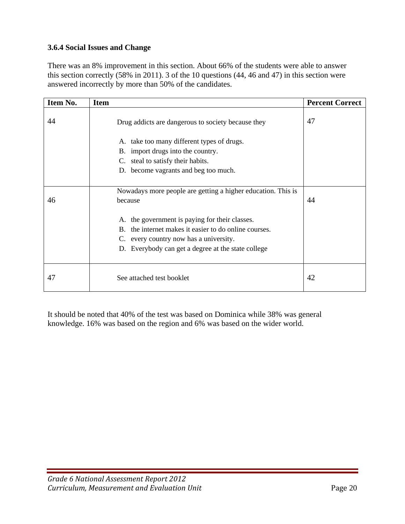## **3.6.4 Social Issues and Change**

There was an 8% improvement in this section. About 66% of the students were able to answer this section correctly (58% in 2011). 3 of the 10 questions (44, 46 and 47) in this section were answered incorrectly by more than 50% of the candidates.

| Item No. | <b>Item</b>                                                                                                                                                                                                                                                                        | <b>Percent Correct</b> |
|----------|------------------------------------------------------------------------------------------------------------------------------------------------------------------------------------------------------------------------------------------------------------------------------------|------------------------|
| 44       | Drug addicts are dangerous to society because they                                                                                                                                                                                                                                 | 47                     |
|          | A. take too many different types of drugs.<br>B. import drugs into the country.<br>C. steal to satisfy their habits.<br>D. become vagrants and beg too much.                                                                                                                       |                        |
| 46       | Nowadays more people are getting a higher education. This is<br>because<br>A. the government is paying for their classes.<br>B. the internet makes it easier to do online courses.<br>C. every country now has a university.<br>D. Everybody can get a degree at the state college | 44                     |
| 47       | See attached test booklet                                                                                                                                                                                                                                                          | 42                     |

It should be noted that 40% of the test was based on Dominica while 38% was general knowledge. 16% was based on the region and 6% was based on the wider world.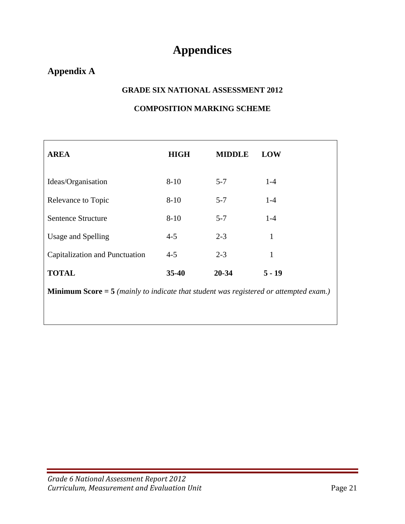# **Appendices**

# **Appendix A**

### **GRADE SIX NATIONAL ASSESSMENT 2012**

## **COMPOSITION MARKING SCHEME**

| <b>AREA</b>                                                                                    | <b>HIGH</b> | <b>MIDDLE</b> | <b>LOW</b> |  |
|------------------------------------------------------------------------------------------------|-------------|---------------|------------|--|
| Ideas/Organisation                                                                             | $8 - 10$    | $5 - 7$       | $1 - 4$    |  |
| Relevance to Topic                                                                             | $8 - 10$    | $5 - 7$       | $1-4$      |  |
| Sentence Structure                                                                             | $8 - 10$    | $5 - 7$       | $1-4$      |  |
| Usage and Spelling                                                                             | $4 - 5$     | $2 - 3$       | 1          |  |
| Capitalization and Punctuation                                                                 | $4 - 5$     | $2 - 3$       | 1          |  |
| <b>TOTAL</b>                                                                                   | $35 - 40$   | 20-34         | $5 - 19$   |  |
| <b>Minimum Score</b> $=$ 5 (mainly to indicate that student was registered or attempted exam.) |             |               |            |  |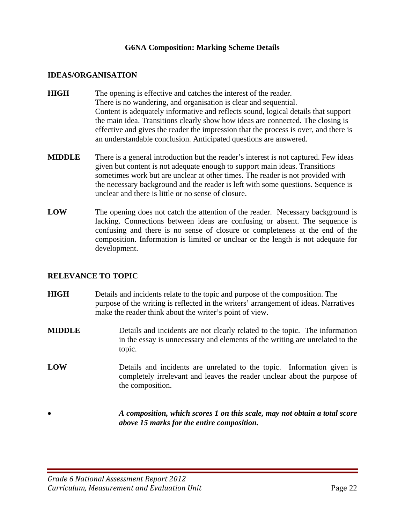#### **G6NA Composition: Marking Scheme Details**

#### **IDEAS/ORGANISATION**

- **HIGH** The opening is effective and catches the interest of the reader. There is no wandering, and organisation is clear and sequential. Content is adequately informative and reflects sound, logical details that support the main idea. Transitions clearly show how ideas are connected. The closing is effective and gives the reader the impression that the process is over, and there is an understandable conclusion. Anticipated questions are answered.
- **MIDDLE** There is a general introduction but the reader's interest is not captured. Few ideas given but content is not adequate enough to support main ideas. Transitions sometimes work but are unclear at other times. The reader is not provided with the necessary background and the reader is left with some questions. Sequence is unclear and there is little or no sense of closure.
- **LOW** The opening does not catch the attention of the reader. Necessary background is lacking. Connections between ideas are confusing or absent. The sequence is confusing and there is no sense of closure or completeness at the end of the composition. Information is limited or unclear or the length is not adequate for development.

#### **RELEVANCE TO TOPIC**

- **HIGH** Details and incidents relate to the topic and purpose of the composition. The purpose of the writing is reflected in the writers' arrangement of ideas. Narratives make the reader think about the writer's point of view.
- **MIDDLE** Details and incidents are not clearly related to the topic. The information in the essay is unnecessary and elements of the writing are unrelated to the topic.
- **LOW** Details and incidents are unrelated to the topic. Information given is completely irrelevant and leaves the reader unclear about the purpose of the composition.
	- *A composition, which scores 1 on this scale, may not obtain a total score above 15 marks for the entire composition.*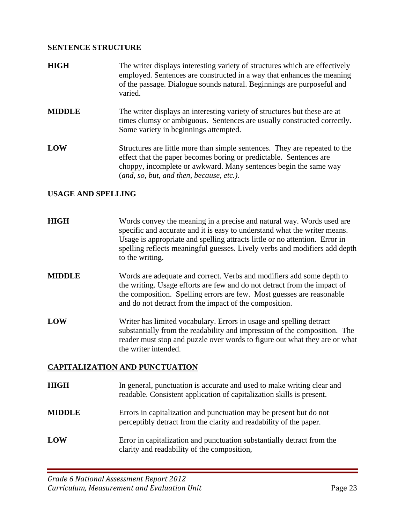## **SENTENCE STRUCTURE**

| <b>HIGH</b>   | The writer displays interesting variety of structures which are effectively<br>employed. Sentences are constructed in a way that enhances the meaning<br>of the passage. Dialogue sounds natural. Beginnings are purposeful and<br>varied.                       |
|---------------|------------------------------------------------------------------------------------------------------------------------------------------------------------------------------------------------------------------------------------------------------------------|
| <b>MIDDLE</b> | The writer displays an interesting variety of structures but these are at<br>times clumsy or ambiguous. Sentences are usually constructed correctly.<br>Some variety in beginnings attempted.                                                                    |
| LOW           | Structures are little more than simple sentences. They are repeated to the<br>effect that the paper becomes boring or predictable. Sentences are<br>choppy, incomplete or awkward. Many sentences begin the same way<br>(and, so, but, and then, because, etc.). |

## **USAGE AND SPELLING**

| <b>HIGH</b>   | Words convey the meaning in a precise and natural way. Words used are<br>specific and accurate and it is easy to understand what the writer means.<br>Usage is appropriate and spelling attracts little or no attention. Error in<br>spelling reflects meaningful guesses. Lively verbs and modifiers add depth<br>to the writing. |
|---------------|------------------------------------------------------------------------------------------------------------------------------------------------------------------------------------------------------------------------------------------------------------------------------------------------------------------------------------|
| <b>MIDDLE</b> | Words are adequate and correct. Verbs and modifiers add some depth to<br>the writing. Usage efforts are few and do not detract from the impact of<br>the composition. Spelling errors are few. Most guesses are reasonable<br>and do not detract from the impact of the composition.                                               |
| LOW           | Writer has limited vocabulary. Errors in usage and spelling detract<br>substantially from the readability and impression of the composition. The<br>reader must stop and puzzle over words to figure out what they are or what<br>the writer intended.                                                                             |
|               | <b>CAPITALIZATION AND PUNCTUATION</b>                                                                                                                                                                                                                                                                                              |

| HIGH          | In general, punctuation is accurate and used to make writing clear and<br>readable. Consistent application of capitalization skills is present. |
|---------------|-------------------------------------------------------------------------------------------------------------------------------------------------|
| <b>MIDDLE</b> | Errors in capitalization and punctuation may be present but do not<br>perceptibly detract from the clarity and readability of the paper.        |
| LOW           | Error in capitalization and punctuation substantially detract from the<br>clarity and readability of the composition,                           |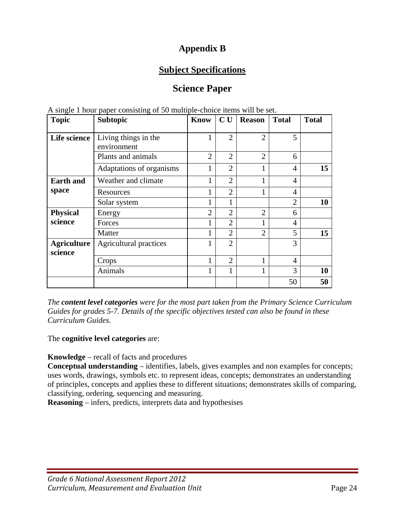# **Appendix B**

# **Subject Specifications**

# **Science Paper**

| <b>Topic</b>                  | $P^{\text{up}}$ $P^{\text{up}}$ $P^{\text{up}}$ $P^{\text{up}}$ $P^{\text{up}}$<br><b>Subtopic</b> | <b>Know</b>    | CU             | <b>Reason</b>  | <b>Total</b>   | <b>Total</b> |
|-------------------------------|----------------------------------------------------------------------------------------------------|----------------|----------------|----------------|----------------|--------------|
|                               |                                                                                                    |                |                |                |                |              |
| Life science                  | Living things in the                                                                               | 1              | $\overline{2}$ | $\overline{2}$ | 5              |              |
|                               | environment                                                                                        |                |                |                |                |              |
|                               | Plants and animals                                                                                 | $\overline{2}$ | $\overline{2}$ | $\overline{2}$ | 6              |              |
|                               | Adaptations of organisms                                                                           | 1              | $\overline{2}$ | $\mathbf{1}$   | $\overline{4}$ | 15           |
| <b>Earth and</b>              | Weather and climate                                                                                | 1              | $\overline{2}$ | 1              | 4              |              |
| space                         | Resources                                                                                          |                | $\overline{2}$ |                | 4              |              |
|                               | Solar system                                                                                       | 1              | 1              |                | $\overline{2}$ | 10           |
| <b>Physical</b>               | Energy                                                                                             | $\overline{2}$ | $\overline{2}$ | 2              | 6              |              |
| science                       | Forces                                                                                             |                | $\overline{2}$ | 1              | 4              |              |
|                               | Matter                                                                                             | 1              | $\overline{2}$ | $\overline{2}$ | 5              | 15           |
| <b>Agriculture</b><br>science | <b>Agricultural practices</b>                                                                      |                | $\overline{2}$ |                | 3              |              |
|                               | Crops                                                                                              | 1              | $\overline{2}$ | 1              | $\overline{4}$ |              |
|                               | Animals                                                                                            | 1              | 1              | 1              | 3              | 10           |
|                               |                                                                                                    |                |                |                | 50             | 50           |

A single 1 hour paper consisting of 50 multiple-choice items will be set.

*The content level categories were for the most part taken from the Primary Science Curriculum Guides for grades 5-7. Details of the specific objectives tested can also be found in these Curriculum Guides.* 

The **cognitive level categories** are:

**Knowledge** – recall of facts and procedures

**Conceptual understanding** – identifies, labels, gives examples and non examples for concepts; uses words, drawings, symbols etc. to represent ideas, concepts; demonstrates an understanding of principles, concepts and applies these to different situations; demonstrates skills of comparing, classifying, ordering, sequencing and measuring.

**Reasoning** – infers, predicts, interprets data and hypothesises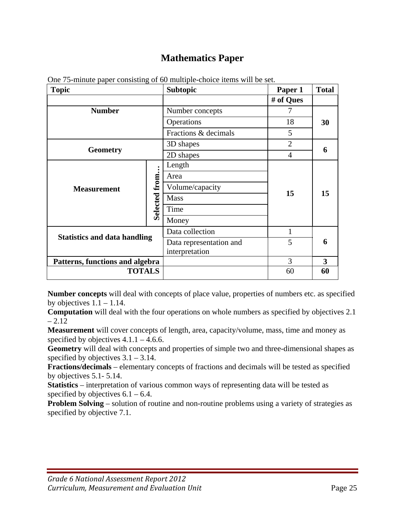# **Mathematics Paper**

| <b>Topic</b>                        |                                 | <b>Subtopic</b>         | Paper 1        | <b>Total</b> |
|-------------------------------------|---------------------------------|-------------------------|----------------|--------------|
|                                     |                                 |                         | # of Ques      |              |
| <b>Number</b>                       |                                 | Number concepts         | 7              |              |
|                                     |                                 | Operations              | 18             | 30           |
|                                     |                                 | Fractions & decimals    | 5              |              |
|                                     |                                 | 3D shapes               | $\overline{2}$ |              |
| <b>Geometry</b>                     |                                 | 2D shapes               | $\overline{4}$ | 6            |
|                                     |                                 | Length                  |                |              |
| <b>Measurement</b>                  | Selected from                   | Area                    |                | 15           |
|                                     |                                 | Volume/capacity         |                |              |
|                                     |                                 | <b>Mass</b>             | 15             |              |
|                                     |                                 | Time                    |                |              |
|                                     |                                 | Money                   |                |              |
| <b>Statistics and data handling</b> |                                 | Data collection         | 1              |              |
|                                     |                                 | Data representation and | 5              | 6            |
|                                     |                                 | interpretation          |                |              |
|                                     | Patterns, functions and algebra |                         | 3              | 3            |
| <b>TOTALS</b>                       |                                 |                         | 60             | 60           |

One 75-minute paper consisting of 60 multiple-choice items will be set.

**Number concepts** will deal with concepts of place value, properties of numbers etc. as specified by objectives  $1.1 - 1.14$ .

**Computation** will deal with the four operations on whole numbers as specified by objectives 2.1  $-2.12$ 

**Measurement** will cover concepts of length, area, capacity/volume, mass, time and money as specified by objectives  $4.1.1 - 4.6.6$ .

**Geometry** will deal with concepts and properties of simple two and three-dimensional shapes as specified by objectives  $3.1 - 3.14$ .

**Fractions/decimals** – elementary concepts of fractions and decimals will be tested as specified by objectives 5.1- 5.14.

**Statistics** – interpretation of various common ways of representing data will be tested as specified by objectives  $6.1 - 6.4$ .

**Problem Solving** – solution of routine and non-routine problems using a variety of strategies as specified by objective 7.1.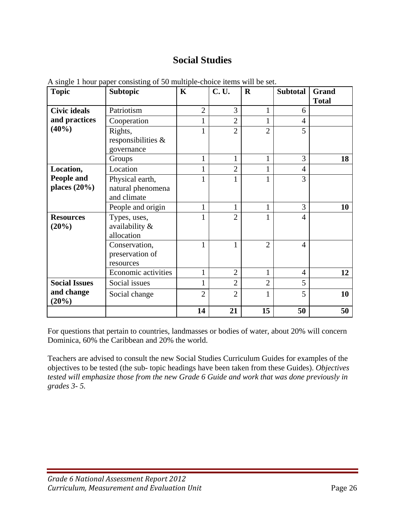# **Social Studies**

| <b>Topic</b>         | To shigher I hour puper consisting or so manipic enoice nems will be set.<br><b>Subtopic</b> | $\mathbf K$    | <b>C.U.</b>    | $\mathbf R$    | <b>Subtotal</b> | Grand        |
|----------------------|----------------------------------------------------------------------------------------------|----------------|----------------|----------------|-----------------|--------------|
|                      |                                                                                              |                |                |                |                 | <b>Total</b> |
| <b>Civic ideals</b>  | Patriotism                                                                                   | $\overline{2}$ | 3              | 1              | 6               |              |
| and practices        | Cooperation                                                                                  | 1              | $\overline{2}$ | 1              | $\overline{4}$  |              |
| (40%)                | Rights,                                                                                      | 1              | $\overline{2}$ | $\overline{2}$ | 5               |              |
|                      | responsibilities &                                                                           |                |                |                |                 |              |
|                      | governance                                                                                   |                |                |                |                 |              |
|                      | Groups                                                                                       | $\mathbf{1}$   | $\mathbf{1}$   | $\mathbf{1}$   | 3               | 18           |
| Location,            | Location                                                                                     | $\mathbf{1}$   | $\overline{2}$ |                | $\overline{4}$  |              |
| People and           | Physical earth,                                                                              | $\mathbf{1}$   | 1              | 1              | 3               |              |
| places $(20\%)$      | natural phenomena                                                                            |                |                |                |                 |              |
|                      | and climate                                                                                  |                |                |                |                 |              |
|                      | People and origin                                                                            | $\mathbf{1}$   | $\mathbf 1$    | $\mathbf 1$    | 3               | 10           |
| <b>Resources</b>     | Types, uses,                                                                                 | 1              | $\overline{2}$ | 1              | $\overline{4}$  |              |
| (20%)                | availability &                                                                               |                |                |                |                 |              |
|                      | allocation                                                                                   |                |                |                |                 |              |
|                      | Conservation,                                                                                | 1              | 1              | $\overline{2}$ | $\overline{4}$  |              |
|                      | preservation of                                                                              |                |                |                |                 |              |
|                      | resources                                                                                    |                |                |                |                 |              |
|                      | Economic activities                                                                          | $\mathbf{1}$   | $\overline{2}$ | 1              | $\overline{4}$  | 12           |
| <b>Social Issues</b> | Social issues                                                                                | $\mathbf{1}$   | $\overline{2}$ | $\overline{2}$ | 5               |              |
| and change<br>(20%)  | Social change                                                                                | $\overline{2}$ | $\overline{2}$ | 1              | 5               | 10           |
|                      |                                                                                              | 14             | 21             | 15             | 50              | 50           |

A single 1 hour paper consisting of 50 multiple-choice items will be set.

For questions that pertain to countries, landmasses or bodies of water, about 20% will concern Dominica, 60% the Caribbean and 20% the world.

Teachers are advised to consult the new Social Studies Curriculum Guides for examples of the objectives to be tested (the sub- topic headings have been taken from these Guides). *Objectives tested will emphasize those from the new Grade 6 Guide and work that was done previously in grades 3- 5.*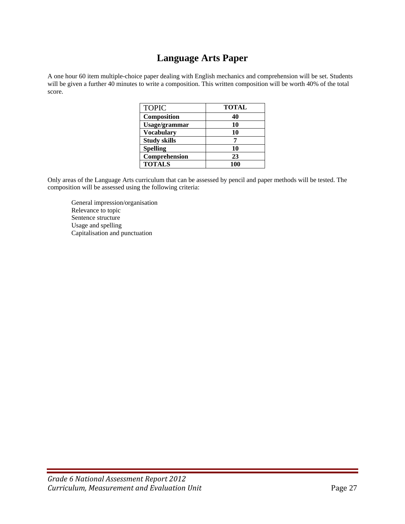# **Language Arts Paper**

A one hour 60 item multiple-choice paper dealing with English mechanics and comprehension will be set. Students will be given a further 40 minutes to write a composition. This written composition will be worth 40% of the total score.

| <b>TOPIC</b>        | <b>TOTAL</b> |
|---------------------|--------------|
| Composition         | 40           |
| Usage/grammar       | 10           |
| <b>Vocabulary</b>   | 10           |
| <b>Study skills</b> |              |
| <b>Spelling</b>     | 10           |
| Comprehension       | 23           |
| <b>TOTALS</b>       | 100          |

Only areas of the Language Arts curriculum that can be assessed by pencil and paper methods will be tested. The composition will be assessed using the following criteria:

 General impression/organisation Relevance to topic Sentence structure Usage and spelling Capitalisation and punctuation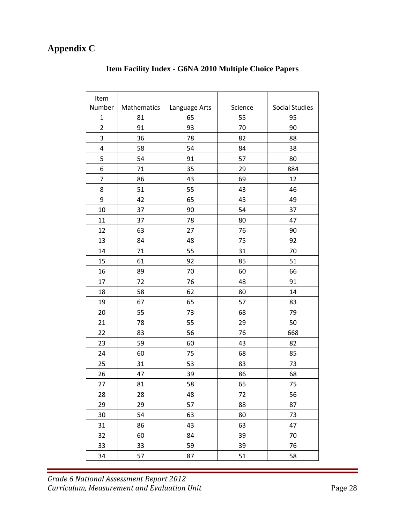# **Appendix C**

| Item           |             |                          |    |                       |
|----------------|-------------|--------------------------|----|-----------------------|
| Number         | Mathematics | Science<br>Language Arts |    | <b>Social Studies</b> |
| $\mathbf 1$    | 81          | 65                       | 55 | 95                    |
| $\overline{2}$ | 91          | 93                       | 70 | 90                    |
| 3              | 36          | 78                       | 82 | 88                    |
| 4              | 58          | 54                       | 84 | 38                    |
| 5              | 54          | 91                       | 57 | 80                    |
| 6              | 71          | 35                       | 29 | 884                   |
| $\overline{7}$ | 86          | 43                       | 69 | 12                    |
| 8              | 51          | 55                       | 43 | 46                    |
| 9              | 42          | 65                       | 45 | 49                    |
| 10             | 37          | 90                       | 54 | 37                    |
| 11             | 37          | 78                       | 80 | 47                    |
| 12             | 63          | 27                       | 76 | 90                    |
| 13             | 84          | 48                       | 75 | 92                    |
| 14             | 71          | 55                       | 31 | 70                    |
| 15             | 61          | 92                       | 85 | 51                    |
| 16             | 89          | 70                       | 60 | 66                    |
| 17             | 72          | 76                       | 48 | 91                    |
| 18             | 58          | 62                       | 80 | 14                    |
| 19             | 67          | 65                       | 57 | 83                    |
| 20             | 55          | 73                       | 68 | 79                    |
| 21             | 78          | 55                       | 29 | 50                    |
| 22             | 83          | 56                       | 76 | 668                   |
| 23             | 59          | 60                       | 43 | 82                    |
| 24             | 60          | 75                       | 68 | 85                    |
| 25             | 31          | 53                       | 83 | 73                    |
| 26             | 47          | 39                       | 86 | 68                    |
| 27             | 81          | 58                       | 65 | 75                    |
| 28             | 28          | 48                       | 72 | 56                    |
| 29             | 29          | 57                       | 88 | 87                    |
| 30             | 54          | 63                       | 80 | 73                    |
| 31             | 86          | 43                       | 63 | 47                    |
| 32             | 60          | 84                       | 39 | 70                    |
| 33             | 33          | 59                       | 39 | 76                    |
| 34             | 57          | 87                       | 51 | 58                    |

## **Item Facility Index - G6NA 2010 Multiple Choice Papers**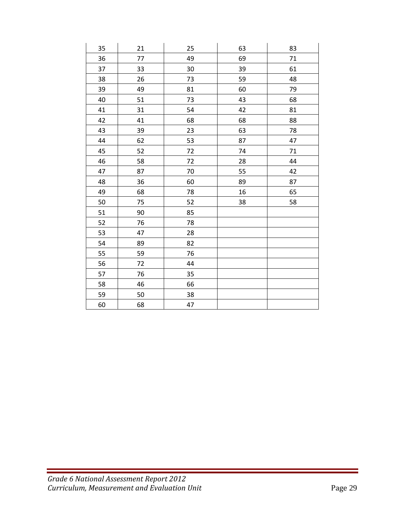| 35 | 21 | 25     | 63 | 83 |
|----|----|--------|----|----|
| 36 | 77 | 49     | 69 | 71 |
| 37 | 33 | 30     | 39 | 61 |
| 38 | 26 | 73     | 59 | 48 |
| 39 | 49 | 81     | 60 | 79 |
| 40 | 51 | 73     | 43 | 68 |
| 41 | 31 | 54     | 42 | 81 |
| 42 | 41 | 68     | 68 | 88 |
| 43 | 39 | 23     | 63 | 78 |
| 44 | 62 | 53     | 87 | 47 |
| 45 | 52 | $72\,$ | 74 | 71 |
| 46 | 58 | 72     | 28 | 44 |
| 47 | 87 | 70     | 55 | 42 |
| 48 | 36 | 60     | 89 | 87 |
| 49 | 68 | 78     | 16 | 65 |
| 50 | 75 | 52     | 38 | 58 |
| 51 | 90 | 85     |    |    |
| 52 | 76 | 78     |    |    |
| 53 | 47 | 28     |    |    |
| 54 | 89 | 82     |    |    |
| 55 | 59 | 76     |    |    |
| 56 | 72 | 44     |    |    |
| 57 | 76 | 35     |    |    |
| 58 | 46 | 66     |    |    |
| 59 | 50 | 38     |    |    |
| 60 | 68 | 47     |    |    |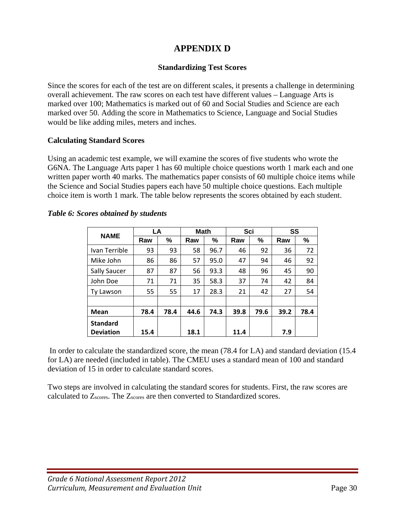# **APPENDIX D**

## **Standardizing Test Scores**

Since the scores for each of the test are on different scales, it presents a challenge in determining overall achievement. The raw scores on each test have different values – Language Arts is marked over 100; Mathematics is marked out of 60 and Social Studies and Science are each marked over 50. Adding the score in Mathematics to Science, Language and Social Studies would be like adding miles, meters and inches.

## **Calculating Standard Scores**

Using an academic test example, we will examine the scores of five students who wrote the G6NA. The Language Arts paper 1 has 60 multiple choice questions worth 1 mark each and one written paper worth 40 marks. The mathematics paper consists of 60 multiple choice items while the Science and Social Studies papers each have 50 multiple choice questions. Each multiple choice item is worth 1 mark. The table below represents the scores obtained by each student.

| <b>NAME</b>      | LA   |      | <b>Math</b> |      | Sci  |      | SS   |      |
|------------------|------|------|-------------|------|------|------|------|------|
|                  | Raw  | %    | Raw         | %    | Raw  | %    | Raw  | %    |
| Ivan Terrible    | 93   | 93   | 58          | 96.7 | 46   | 92   | 36   | 72   |
| Mike John        | 86   | 86   | 57          | 95.0 | 47   | 94   | 46   | 92   |
| Sally Saucer     | 87   | 87   | 56          | 93.3 | 48   | 96   | 45   | 90   |
| John Doe         | 71   | 71   | 35          | 58.3 | 37   | 74   | 42   | 84   |
| Ty Lawson        | 55   | 55   | 17          | 28.3 | 21   | 42   | 27   | 54   |
|                  |      |      |             |      |      |      |      |      |
| <b>Mean</b>      | 78.4 | 78.4 | 44.6        | 74.3 | 39.8 | 79.6 | 39.2 | 78.4 |
| <b>Standard</b>  |      |      |             |      |      |      |      |      |
| <b>Deviation</b> | 15.4 |      | 18.1        |      | 11.4 |      | 7.9  |      |

#### *Table 6: Scores obtained by students*

 In order to calculate the standardized score, the mean (78.4 for LA) and standard deviation (15.4 for LA) are needed (included in table). The CMEU uses a standard mean of 100 and standard deviation of 15 in order to calculate standard scores.

Two steps are involved in calculating the standard scores for students. First, the raw scores are calculated to Zscores. The Zscores are then converted to Standardized scores.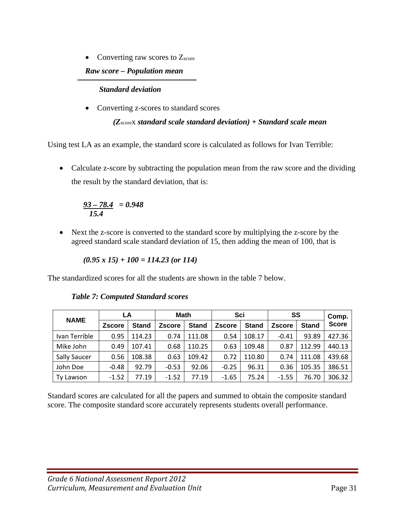• Converting raw scores to  $Z_{\text{score}}$ 

## *Raw score – Population mean*

## *Standard deviation*

• Converting z-scores to standard scores

*(Z*scorex *standard scale standard deviation) + Standard scale mean* 

Using test LA as an example, the standard score is calculated as follows for Ivan Terrible:

• Calculate z-score by subtracting the population mean from the raw score and the dividing the result by the standard deviation, that is:

$$
\frac{93-78.4}{15.4} = 0.948
$$

• Next the z-score is converted to the standard score by multiplying the z-score by the agreed standard scale standard deviation of 15, then adding the mean of 100, that is

$$
(0.95 \times 15) + 100 = 114.23
$$
 (or 114)

The standardized scores for all the students are shown in the table 7 below.

|                     | LA            |              | <b>Math</b>   |              | Sci           |              | SS            |              | Comp.        |
|---------------------|---------------|--------------|---------------|--------------|---------------|--------------|---------------|--------------|--------------|
| <b>NAME</b>         | <b>Zscore</b> | <b>Stand</b> | <b>Zscore</b> | <b>Stand</b> | <b>Zscore</b> | <b>Stand</b> | <b>Zscore</b> | <b>Stand</b> | <b>Score</b> |
| Ivan Terrible       | 0.95          | 114.23       | 0.74          | 111.08       | 0.54          | 108.17       | $-0.41$       | 93.89        | 427.36       |
| Mike John           | 0.49          | 107.41       | 0.68          | 110.25       | 0.63          | 109.48       | 0.87          | 112.99       | 440.13       |
| <b>Sally Saucer</b> | 0.56          | 108.38       | 0.63          | 109.42       | 0.72          | 110.80       | 0.74          | 111.08       | 439.68       |
| John Doe            | $-0.48$       | 92.79        | $-0.53$       | 92.06        | $-0.25$       | 96.31        | 0.36          | 105.35       | 386.51       |
| <b>Ty Lawson</b>    | $-1.52$       | 77.19        | $-1.52$       | 77.19        | $-1.65$       | 75.24        | $-1.55$       | 76.70        | 306.32       |

## *Table 7: Computed Standard scores*

Standard scores are calculated for all the papers and summed to obtain the composite standard score. The composite standard score accurately represents students overall performance.